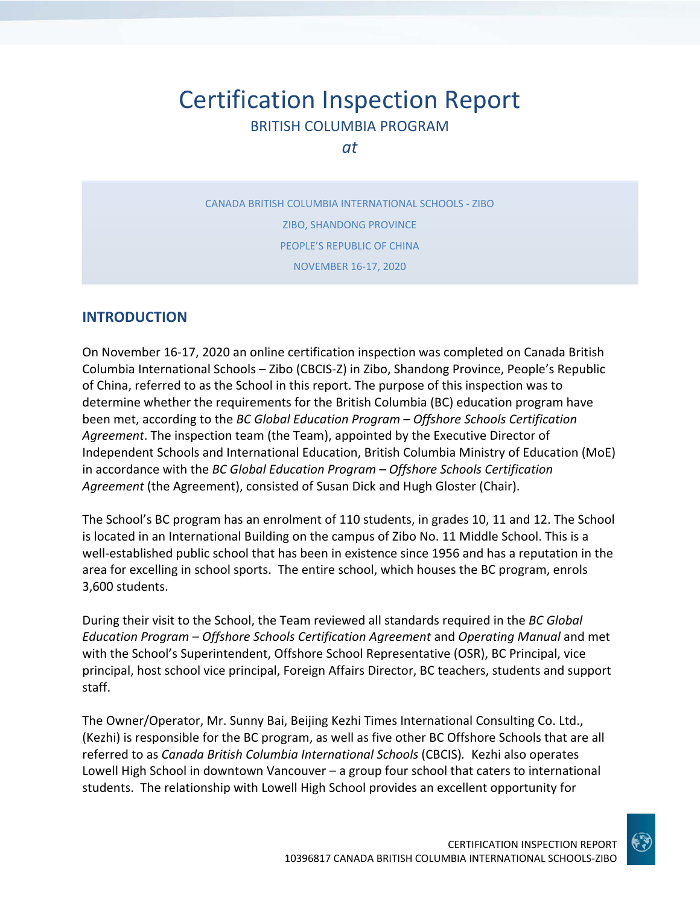# Certification Inspection Report BRITISH COLUMBIA PROGRAM

*at*

CANADA BRITISH COLUMBIA INTERNATIONAL SCHOOLS ‐ ZIBO ZIBO, SHANDONG PROVINCE PEOPLE'S REPUBLIC OF CHINA NOVEMBER 16‐17, 2020

#### **INTRODUCTION**

On November 16‐17, 2020 an online certification inspection was completed on Canada British Columbia International Schools – Zibo (CBCIS‐Z) in Zibo, Shandong Province, People's Republic of China, referred to as the School in this report. The purpose of this inspection was to determine whether the requirements for the British Columbia (BC) education program have been met, according to the *BC Global Education Program – Offshore Schools Certification Agreement*. The inspection team (the Team), appointed by the Executive Director of Independent Schools and International Education, British Columbia Ministry of Education (MoE) in accordance with the *BC Global Education Program – Offshore Schools Certification Agreement* (the Agreement), consisted of Susan Dick and Hugh Gloster (Chair).

The School's BC program has an enrolment of 110 students, in grades 10, 11 and 12. The School is located in an International Building on the campus of Zibo No. 11 Middle School. This is a well-established public school that has been in existence since 1956 and has a reputation in the area for excelling in school sports. The entire school, which houses the BC program, enrols 3,600 students.

During their visit to the School, the Team reviewed all standards required in the *BC Global Education Program – Offshore Schools Certification Agreement* and *Operating Manual* and met with the School's Superintendent, Offshore School Representative (OSR), BC Principal, vice principal, host school vice principal, Foreign Affairs Director, BC teachers, students and support staff.

The Owner/Operator, Mr. Sunny Bai, Beijing Kezhi Times International Consulting Co. Ltd., (Kezhi) is responsible for the BC program, as well as five other BC Offshore Schools that are all referred to as *Canada British Columbia International Schools* (CBCIS)*.* Kezhi also operates Lowell High School in downtown Vancouver – a group four school that caters to international students. The relationship with Lowell High School provides an excellent opportunity for

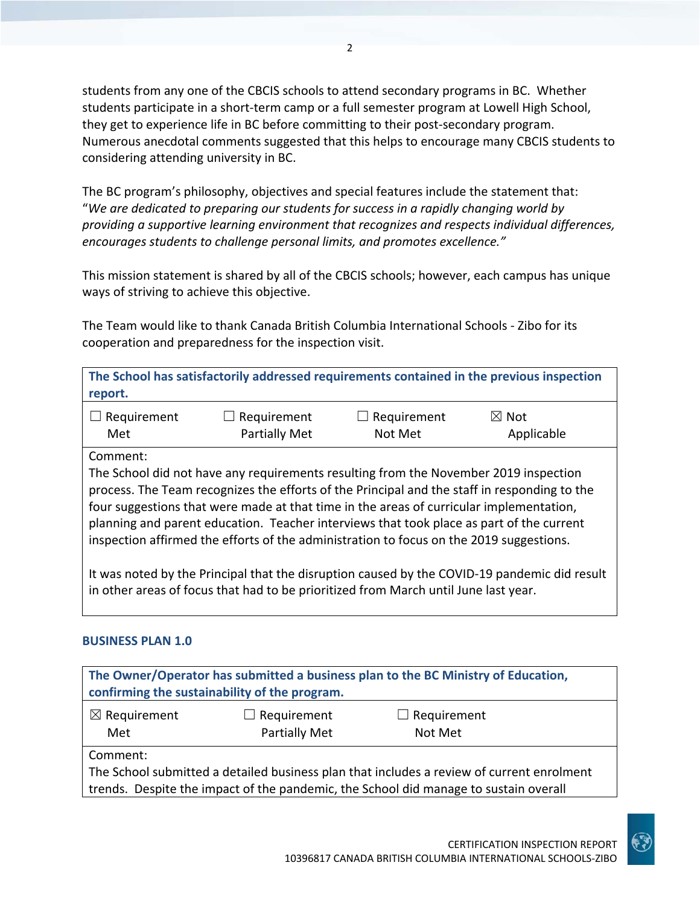students from any one of the CBCIS schools to attend secondary programs in BC. Whether students participate in a short-term camp or a full semester program at Lowell High School, they get to experience life in BC before committing to their post‐secondary program. Numerous anecdotal comments suggested that this helps to encourage many CBCIS students to considering attending university in BC.

The BC program's philosophy, objectives and special features include the statement that: "*We are dedicated to preparing our students for success in a rapidly changing world by providing a supportive learning environment that recognizes and respects individual differences, encourages students to challenge personal limits, and promotes excellence."*

This mission statement is shared by all of the CBCIS schools; however, each campus has unique ways of striving to achieve this objective.

The Team would like to thank Canada British Columbia International Schools ‐ Zibo for its cooperation and preparedness for the inspection visit.

**The School has satisfactorily addressed requirements contained in the previous inspection report.**

| $\Box$ Requirement | $\Box$ Requirement   | $\Box$ Requirement | $\boxtimes$ Not |
|--------------------|----------------------|--------------------|-----------------|
| Met                | <b>Partially Met</b> | Not Met            | Applicable      |

Comment:

The School did not have any requirements resulting from the November 2019 inspection process. The Team recognizes the efforts of the Principal and the staff in responding to the four suggestions that were made at that time in the areas of curricular implementation, planning and parent education. Teacher interviews that took place as part of the current inspection affirmed the efforts of the administration to focus on the 2019 suggestions.

It was noted by the Principal that the disruption caused by the COVID‐19 pandemic did result in other areas of focus that had to be prioritized from March until June last year.

#### **BUSINESS PLAN 1.0**

|                         | confirming the sustainability of the program. | The Owner/Operator has submitted a business plan to the BC Ministry of Education,         |  |
|-------------------------|-----------------------------------------------|-------------------------------------------------------------------------------------------|--|
| $\boxtimes$ Requirement | $\Box$ Requirement                            | $\Box$ Requirement                                                                        |  |
| Met                     | Partially Met                                 | Not Met                                                                                   |  |
| Comment:                |                                               |                                                                                           |  |
|                         |                                               | The School submitted a detailed business plan that includes a review of current enrolment |  |
|                         |                                               | trends. Despite the impact of the pandemic, the School did manage to sustain overall      |  |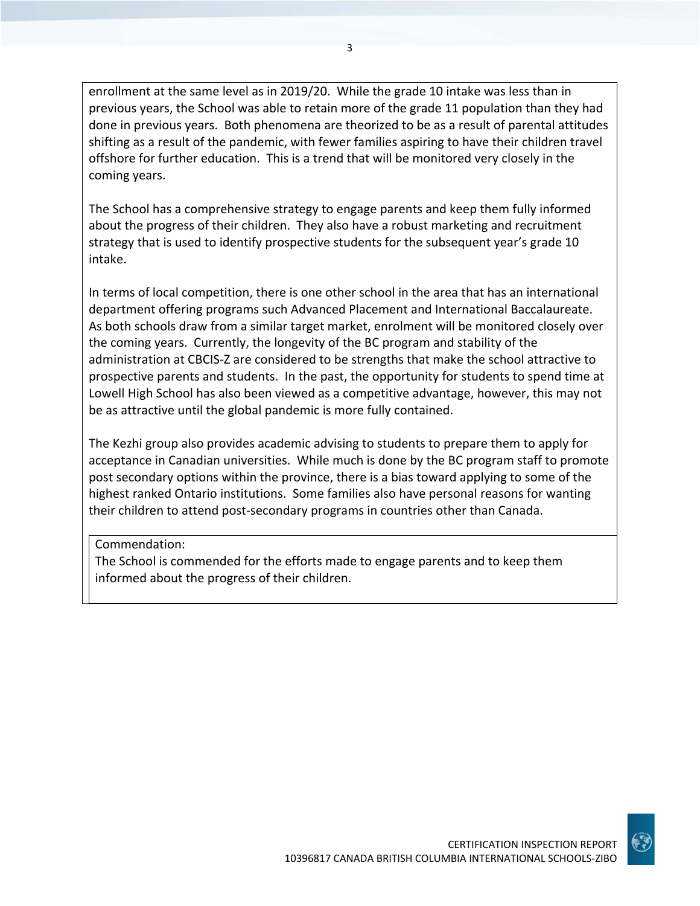enrollment at the same level as in 2019/20. While the grade 10 intake was less than in previous years, the School was able to retain more of the grade 11 population than they had done in previous years. Both phenomena are theorized to be as a result of parental attitudes shifting as a result of the pandemic, with fewer families aspiring to have their children travel offshore for further education. This is a trend that will be monitored very closely in the coming years.

The School has a comprehensive strategy to engage parents and keep them fully informed about the progress of their children. They also have a robust marketing and recruitment strategy that is used to identify prospective students for the subsequent year's grade 10 intake.

In terms of local competition, there is one other school in the area that has an international department offering programs such Advanced Placement and International Baccalaureate. As both schools draw from a similar target market, enrolment will be monitored closely over the coming years. Currently, the longevity of the BC program and stability of the administration at CBCIS‐Z are considered to be strengths that make the school attractive to prospective parents and students. In the past, the opportunity for students to spend time at Lowell High School has also been viewed as a competitive advantage, however, this may not be as attractive until the global pandemic is more fully contained.

The Kezhi group also provides academic advising to students to prepare them to apply for acceptance in Canadian universities. While much is done by the BC program staff to promote post secondary options within the province, there is a bias toward applying to some of the highest ranked Ontario institutions. Some families also have personal reasons for wanting their children to attend post‐secondary programs in countries other than Canada.

#### Commendation:

The School is commended for the efforts made to engage parents and to keep them informed about the progress of their children.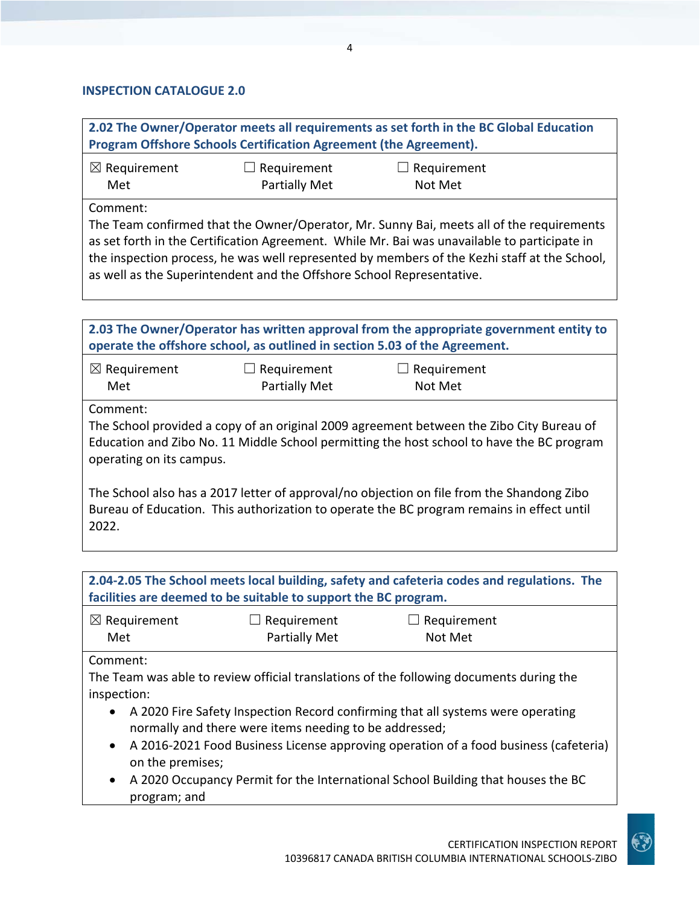#### **INSPECTION CATALOGUE 2.0**

**2.02 The Owner/Operator meets all requirements as set forth in the BC Global Education Program Offshore Schools Certification Agreement (the Agreement).**

| $\boxtimes$ Requirement | $\Box$ Requirement   | $\Box$ Requirement |
|-------------------------|----------------------|--------------------|
| Met                     | <b>Partially Met</b> | Not Met            |

Comment:

The Team confirmed that the Owner/Operator, Mr. Sunny Bai, meets all of the requirements as set forth in the Certification Agreement. While Mr. Bai was unavailable to participate in the inspection process, he was well represented by members of the Kezhi staff at the School, as well as the Superintendent and the Offshore School Representative.

|                                      |                                     | 2.03 The Owner/Operator has written approval from the appropriate government entity to<br>operate the offshore school, as outlined in section 5.03 of the Agreement.                   |  |
|--------------------------------------|-------------------------------------|----------------------------------------------------------------------------------------------------------------------------------------------------------------------------------------|--|
| $\boxtimes$ Requirement<br>Met       | Requirement<br><b>Partially Met</b> | $\Box$ Requirement<br>Not Met                                                                                                                                                          |  |
| Comment:<br>operating on its campus. |                                     | The School provided a copy of an original 2009 agreement between the Zibo City Bureau of<br>Education and Zibo No. 11 Middle School permitting the host school to have the BC program  |  |
| 2022.                                |                                     | The School also has a 2017 letter of approval/no objection on file from the Shandong Zibo<br>Bureau of Education. This authorization to operate the BC program remains in effect until |  |

**2.04‐2.05 The School meets local building, safety and cafeteria codes and regulations. The facilities are deemed to be suitable to support the BC program.**

| $\boxtimes$ Requirement | $\Box$ Requirement   | $\Box$ Requirement |
|-------------------------|----------------------|--------------------|
| Met                     | <b>Partially Met</b> | Not Met            |

Comment:

The Team was able to review official translations of the following documents during the inspection:

- A 2020 Fire Safety Inspection Record confirming that all systems were operating normally and there were items needing to be addressed;
- A 2016-2021 Food Business License approving operation of a food business (cafeteria) on the premises;
- A 2020 Occupancy Permit for the International School Building that houses the BC program; and

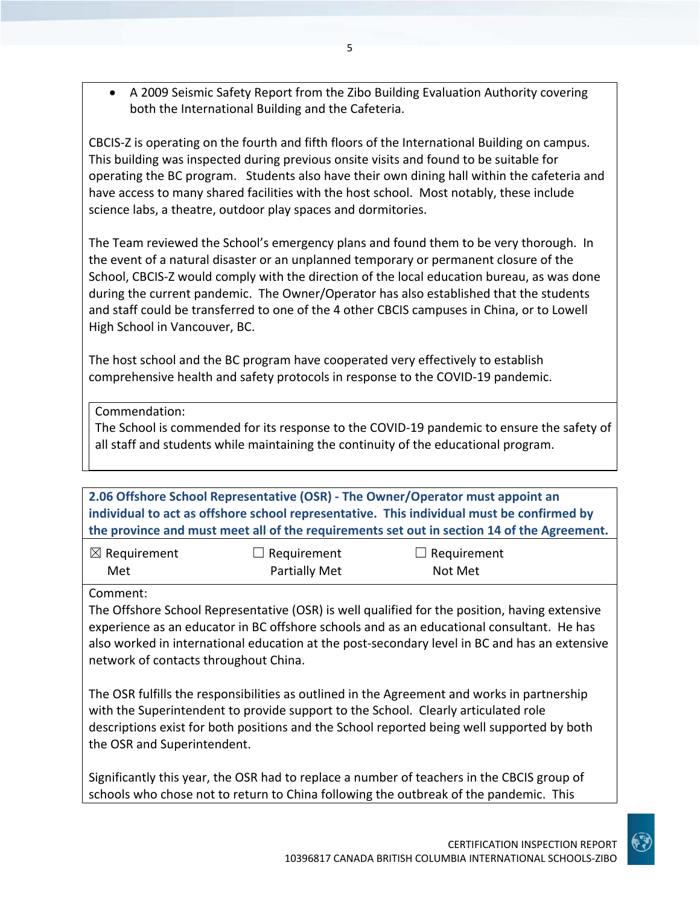A 2009 Seismic Safety Report from the Zibo Building Evaluation Authority covering both the International Building and the Cafeteria.

CBCIS‐Z is operating on the fourth and fifth floors of the International Building on campus. This building was inspected during previous onsite visits and found to be suitable for operating the BC program. Students also have their own dining hall within the cafeteria and have access to many shared facilities with the host school. Most notably, these include science labs, a theatre, outdoor play spaces and dormitories.

The Team reviewed the School's emergency plans and found them to be very thorough. In the event of a natural disaster or an unplanned temporary or permanent closure of the School, CBCIS‐Z would comply with the direction of the local education bureau, as was done during the current pandemic. The Owner/Operator has also established that the students and staff could be transferred to one of the 4 other CBCIS campuses in China, or to Lowell High School in Vancouver, BC.

The host school and the BC program have cooperated very effectively to establish comprehensive health and safety protocols in response to the COVID‐19 pandemic.

Commendation:

The School is commended for its response to the COVID‐19 pandemic to ensure the safety of all staff and students while maintaining the continuity of the educational program.

**2.06 Offshore School Representative (OSR) ‐ The Owner/Operator must appoint an individual to act as offshore school representative. This individual must be confirmed by the province and must meet all of the requirements set out in section 14 of the Agreement.**

| $\boxtimes$ Requirement | $\Box$ Requirement   | $\Box$ Requirement |  |
|-------------------------|----------------------|--------------------|--|
| Met                     | <b>Partially Met</b> | Not Met            |  |

Comment:

The Offshore School Representative (OSR) is well qualified for the position, having extensive experience as an educator in BC offshore schools and as an educational consultant. He has also worked in international education at the post‐secondary level in BC and has an extensive network of contacts throughout China.

The OSR fulfills the responsibilities as outlined in the Agreement and works in partnership with the Superintendent to provide support to the School. Clearly articulated role descriptions exist for both positions and the School reported being well supported by both the OSR and Superintendent.

Significantly this year, the OSR had to replace a number of teachers in the CBCIS group of schools who chose not to return to China following the outbreak of the pandemic. This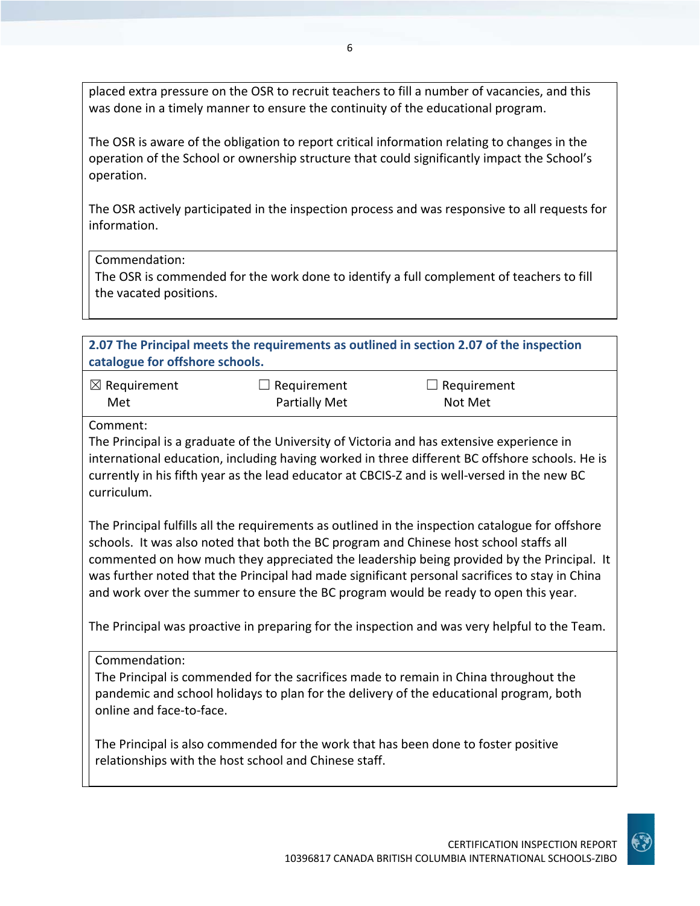placed extra pressure on the OSR to recruit teachers to fill a number of vacancies, and this was done in a timely manner to ensure the continuity of the educational program.

The OSR is aware of the obligation to report critical information relating to changes in the operation of the School or ownership structure that could significantly impact the School's operation.

The OSR actively participated in the inspection process and was responsive to all requests for information.

#### Commendation:

The OSR is commended for the work done to identify a full complement of teachers to fill the vacated positions.

**2.07 The Principal meets the requirements as outlined in section 2.07 of the inspection catalogue for offshore schools.**

| $\boxtimes$ Requirement | $\Box$ Requirement | $\Box$ Requirement |
|-------------------------|--------------------|--------------------|
| Met                     | Partially Met      | Not Met            |

#### Comment:

The Principal is a graduate of the University of Victoria and has extensive experience in international education, including having worked in three different BC offshore schools. He is currently in his fifth year as the lead educator at CBCIS‐Z and is well‐versed in the new BC curriculum.

The Principal fulfills all the requirements as outlined in the inspection catalogue for offshore schools. It was also noted that both the BC program and Chinese host school staffs all commented on how much they appreciated the leadership being provided by the Principal. It was further noted that the Principal had made significant personal sacrifices to stay in China and work over the summer to ensure the BC program would be ready to open this year.

The Principal was proactive in preparing for the inspection and was very helpful to the Team.

The Principal is commended for the sacrifices made to remain in China throughout the pandemic and school holidays to plan for the delivery of the educational program, both online and face‐to‐face.

The Principal is also commended for the work that has been done to foster positive relationships with the host school and Chinese staff.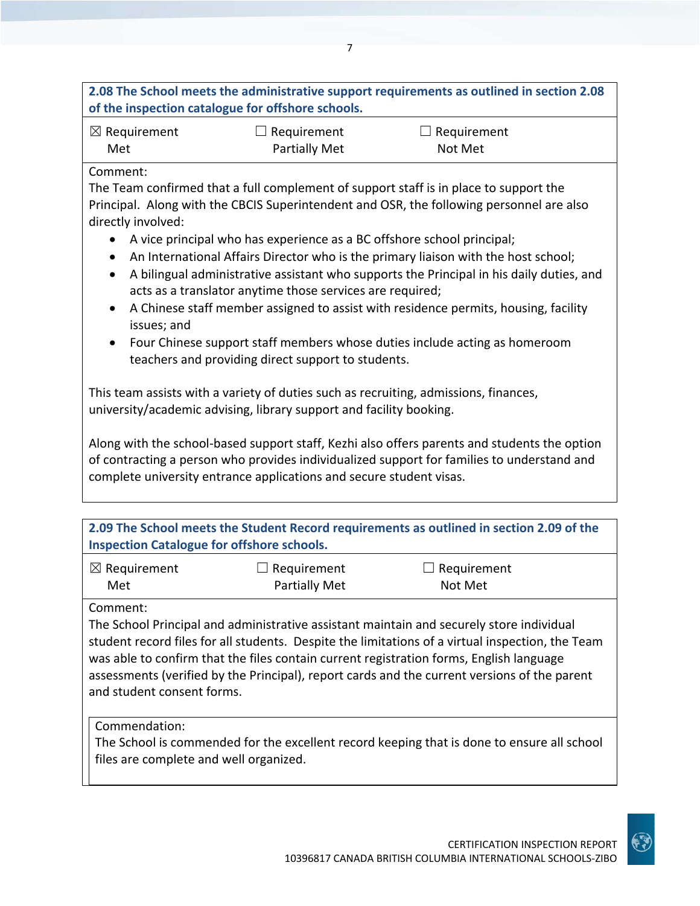#### **2.08 The School meets the administrative support requirements as outlined in section 2.08 of the inspection catalogue for offshore schools.**

| $\boxtimes$ Requirement | $\Box$ Requirement | $\Box$ Requirement |
|-------------------------|--------------------|--------------------|
| Met                     | Partially Met      | Not Met            |

#### Comment:

The Team confirmed that a full complement of support staff is in place to support the Principal. Along with the CBCIS Superintendent and OSR, the following personnel are also directly involved:

- A vice principal who has experience as a BC offshore school principal;
- An International Affairs Director who is the primary liaison with the host school;
- A bilingual administrative assistant who supports the Principal in his daily duties, and acts as a translator anytime those services are required;
- A Chinese staff member assigned to assist with residence permits, housing, facility issues; and
- Four Chinese support staff members whose duties include acting as homeroom teachers and providing direct support to students.

This team assists with a variety of duties such as recruiting, admissions, finances, university/academic advising, library support and facility booking.

Along with the school‐based support staff, Kezhi also offers parents and students the option of contracting a person who provides individualized support for families to understand and complete university entrance applications and secure student visas.

**2.09 The School meets the Student Record requirements as outlined in section 2.09 of the Inspection Catalogue for offshore schools.**

| $\boxtimes$ Requirement | $\Box$ Requirement   | $\Box$ Requirement |
|-------------------------|----------------------|--------------------|
| Met                     | <b>Partially Met</b> | Not Met            |

Comment:

The School Principal and administrative assistant maintain and securely store individual student record files for all students. Despite the limitations of a virtual inspection, the Team was able to confirm that the files contain current registration forms, English language assessments (verified by the Principal), report cards and the current versions of the parent and student consent forms.

Commendation:

The School is commended for the excellent record keeping that is done to ensure all school files are complete and well organized.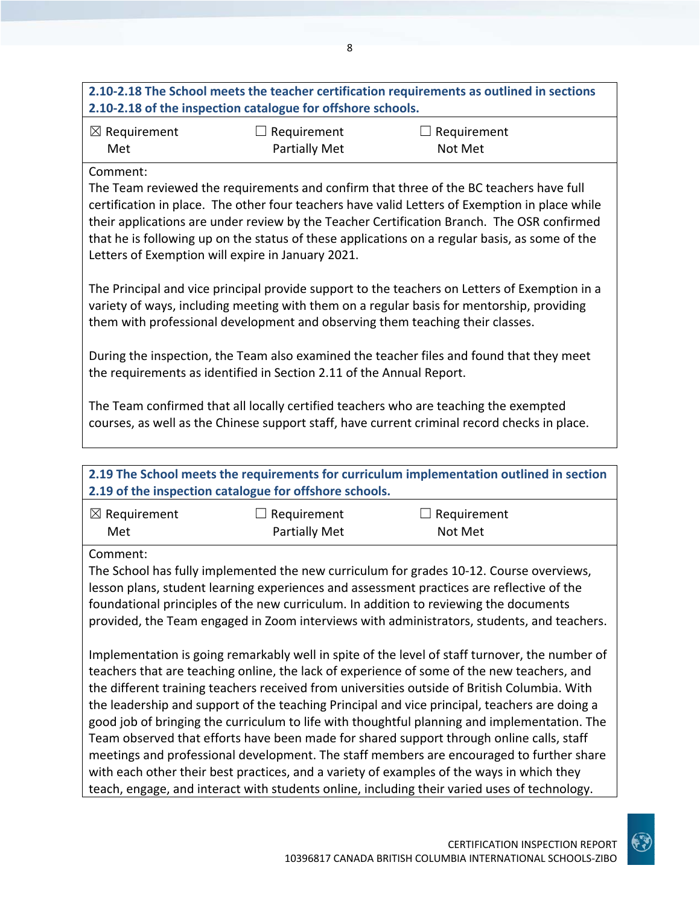|                                                                                              | 2.10-2.18 of the inspection catalogue for offshore schools.                                   | 2.10-2.18 The School meets the teacher certification requirements as outlined in sections                                                                                                                                                                                                                                                                                                |
|----------------------------------------------------------------------------------------------|-----------------------------------------------------------------------------------------------|------------------------------------------------------------------------------------------------------------------------------------------------------------------------------------------------------------------------------------------------------------------------------------------------------------------------------------------------------------------------------------------|
| $\boxtimes$ Requirement<br>Met                                                               | $\Box$ Requirement<br><b>Partially Met</b>                                                    | $\Box$ Requirement<br>Not Met                                                                                                                                                                                                                                                                                                                                                            |
| Comment:                                                                                     | Letters of Exemption will expire in January 2021.                                             | The Team reviewed the requirements and confirm that three of the BC teachers have full<br>certification in place. The other four teachers have valid Letters of Exemption in place while<br>their applications are under review by the Teacher Certification Branch. The OSR confirmed<br>that he is following up on the status of these applications on a regular basis, as some of the |
|                                                                                              | them with professional development and observing them teaching their classes.                 | The Principal and vice principal provide support to the teachers on Letters of Exemption in a<br>variety of ways, including meeting with them on a regular basis for mentorship, providing                                                                                                                                                                                               |
|                                                                                              | the requirements as identified in Section 2.11 of the Annual Report.                          | During the inspection, the Team also examined the teacher files and found that they meet                                                                                                                                                                                                                                                                                                 |
|                                                                                              |                                                                                               | The Team confirmed that all locally certified teachers who are teaching the exempted<br>courses, as well as the Chinese support staff, have current criminal record checks in place.                                                                                                                                                                                                     |
|                                                                                              | 2.19 of the inspection catalogue for offshore schools.                                        | 2.19 The School meets the requirements for curriculum implementation outlined in section                                                                                                                                                                                                                                                                                                 |
| $\boxtimes$ Requirement<br>Met                                                               | $\Box$ Requirement<br><b>Partially Met</b>                                                    | $\Box$ Requirement<br>Not Met                                                                                                                                                                                                                                                                                                                                                            |
| Comment:                                                                                     |                                                                                               | The School has fully implemented the new curriculum for grades 10-12. Course overviews,<br>lesson plans, student learning experiences and assessment practices are reflective of the<br>foundational principles of the new curriculum. In addition to reviewing the documents<br>provided, the Team engaged in Zoom interviews with administrators, students, and teachers.              |
| good job of bringing the curriculum to life with thoughtful planning and implementation. The | the leadership and support of the teaching Principal and vice principal, teachers are doing a | Implementation is going remarkably well in spite of the level of staff turnover, the number of<br>teachers that are teaching online, the lack of experience of some of the new teachers, and<br>the different training teachers received from universities outside of British Columbia. With                                                                                             |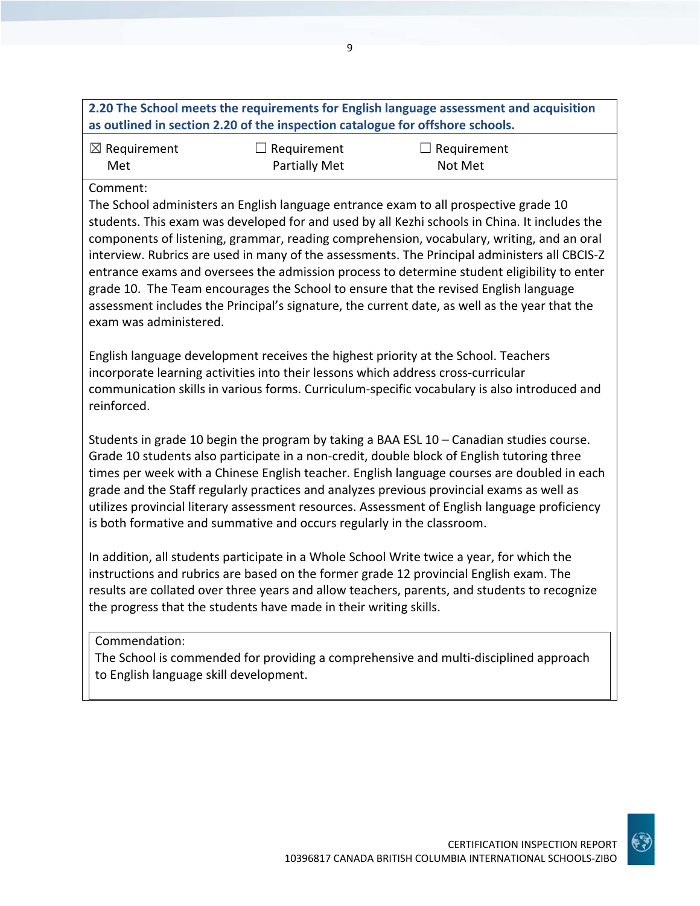| 2.20 The School meets the requirements for English language assessment and acquisition |
|----------------------------------------------------------------------------------------|
| as outlined in section 2.20 of the inspection catalogue for offshore schools.          |

| $\boxtimes$ Requirement | $\Box$ Requirement   | $\Box$ Requirement |
|-------------------------|----------------------|--------------------|
| Met                     | <b>Partially Met</b> | Not Met            |

#### Comment:

The School administers an English language entrance exam to all prospective grade 10 students. This exam was developed for and used by all Kezhi schools in China. It includes the components of listening, grammar, reading comprehension, vocabulary, writing, and an oral interview. Rubrics are used in many of the assessments. The Principal administers all CBCIS‐Z entrance exams and oversees the admission process to determine student eligibility to enter grade 10. The Team encourages the School to ensure that the revised English language assessment includes the Principal's signature, the current date, as well as the year that the exam was administered.

English language development receives the highest priority at the School. Teachers incorporate learning activities into their lessons which address cross-curricular communication skills in various forms. Curriculum‐specific vocabulary is also introduced and reinforced.

Students in grade 10 begin the program by taking a BAA ESL 10 – Canadian studies course. Grade 10 students also participate in a non‐credit, double block of English tutoring three times per week with a Chinese English teacher. English language courses are doubled in each grade and the Staff regularly practices and analyzes previous provincial exams as well as utilizes provincial literary assessment resources. Assessment of English language proficiency is both formative and summative and occurs regularly in the classroom.

In addition, all students participate in a Whole School Write twice a year, for which the instructions and rubrics are based on the former grade 12 provincial English exam. The results are collated over three years and allow teachers, parents, and students to recognize the progress that the students have made in their writing skills.

#### Commendation:

The School is commended for providing a comprehensive and multi‐disciplined approach to English language skill development.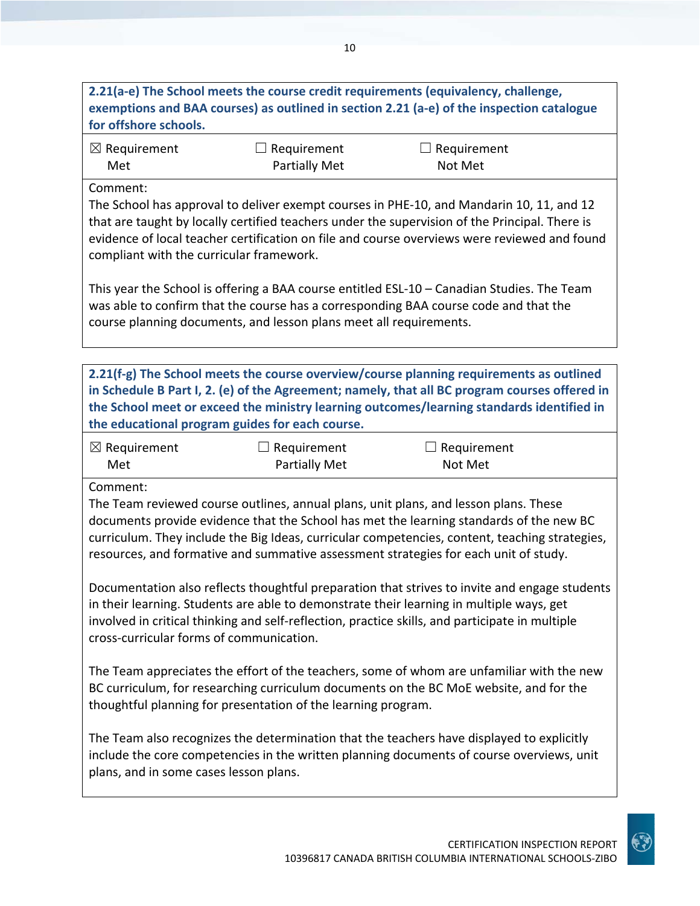## **2.21(a‐e) The School meets the course credit requirements (equivalency, challenge, exemptions and BAA courses) as outlined in section 2.21 (a‐e) of the inspection catalogue for offshore schools.**

| $\boxtimes$ Requirement | $\Box$ Requirement   | $\Box$ Requirement |
|-------------------------|----------------------|--------------------|
| Met                     | <b>Partially Met</b> | Not Met            |

#### Comment:

The School has approval to deliver exempt courses in PHE‐10, and Mandarin 10, 11, and 12 that are taught by locally certified teachers under the supervision of the Principal. There is evidence of local teacher certification on file and course overviews were reviewed and found compliant with the curricular framework.

This year the School is offering a BAA course entitled ESL‐10 – Canadian Studies. The Team was able to confirm that the course has a corresponding BAA course code and that the course planning documents, and lesson plans meet all requirements.

**2.21(f‐g) The School meets the course overview/course planning requirements as outlined in Schedule B Part I, 2. (e) of the Agreement; namely, that all BC program courses offered in the School meet or exceed the ministry learning outcomes/learning standards identified in the educational program guides for each course.**

| $\boxtimes$ Requirement | $\Box$ Requirement   | $\Box$ Requirement |
|-------------------------|----------------------|--------------------|
| Met                     | <b>Partially Met</b> | Not Met            |

#### Comment:

The Team reviewed course outlines, annual plans, unit plans, and lesson plans. These documents provide evidence that the School has met the learning standards of the new BC curriculum. They include the Big Ideas, curricular competencies, content, teaching strategies, resources, and formative and summative assessment strategies for each unit of study.

Documentation also reflects thoughtful preparation that strives to invite and engage students in their learning. Students are able to demonstrate their learning in multiple ways, get involved in critical thinking and self‐reflection, practice skills, and participate in multiple cross‐curricular forms of communication.

The Team appreciates the effort of the teachers, some of whom are unfamiliar with the new BC curriculum, for researching curriculum documents on the BC MoE website, and for the thoughtful planning for presentation of the learning program.

The Team also recognizes the determination that the teachers have displayed to explicitly include the core competencies in the written planning documents of course overviews, unit plans, and in some cases lesson plans.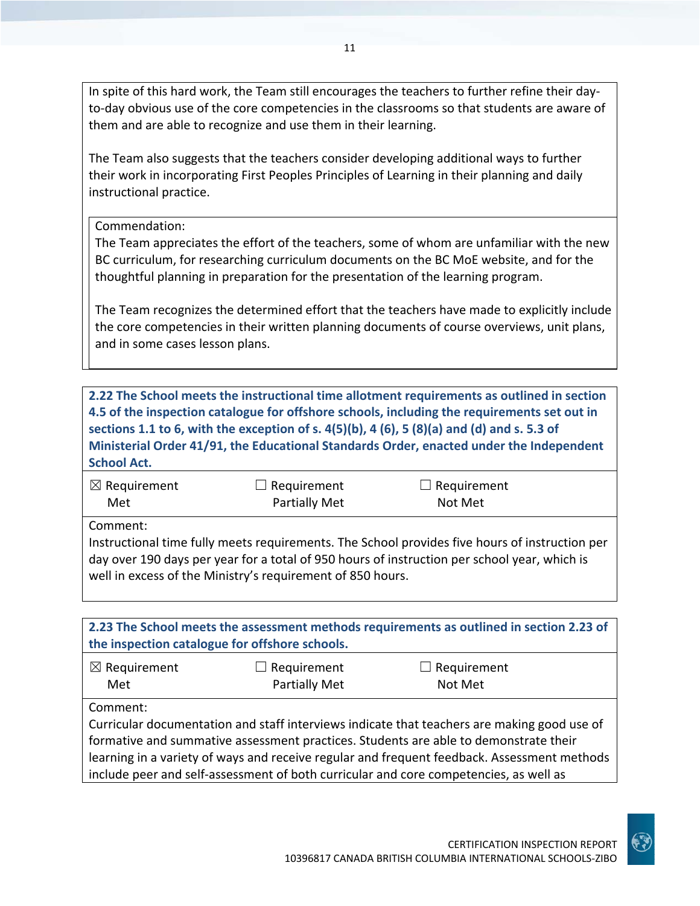In spite of this hard work, the Team still encourages the teachers to further refine their day‐ to-day obvious use of the core competencies in the classrooms so that students are aware of them and are able to recognize and use them in their learning.

The Team also suggests that the teachers consider developing additional ways to further their work in incorporating First Peoples Principles of Learning in their planning and daily instructional practice.

Commendation:

The Team appreciates the effort of the teachers, some of whom are unfamiliar with the new BC curriculum, for researching curriculum documents on the BC MoE website, and for the thoughtful planning in preparation for the presentation of the learning program.

The Team recognizes the determined effort that the teachers have made to explicitly include the core competencies in their written planning documents of course overviews, unit plans, and in some cases lesson plans.

**2.22 The School meets the instructional time allotment requirements as outlined in section 4.5 of the inspection catalogue for offshore schools, including the requirements set out in** sections 1.1 to 6, with the exception of s.  $4(5)(b)$ , 4 (6), 5 (8)(a) and (d) and s. 5.3 of **Ministerial Order 41/91, the Educational Standards Order, enacted under the Independent School Act.**

| $\boxtimes$ Requirement | $\Box$ Requirement                                         | $\Box$ Requirement                                                                                                                                                                             |  |
|-------------------------|------------------------------------------------------------|------------------------------------------------------------------------------------------------------------------------------------------------------------------------------------------------|--|
| Met                     | <b>Partially Met</b>                                       | Not Met                                                                                                                                                                                        |  |
| Comment:                | well in excess of the Ministry's requirement of 850 hours. | Instructional time fully meets requirements. The School provides five hours of instruction per<br>day over 190 days per year for a total of 950 hours of instruction per school year, which is |  |

| 2.23 The School meets the assessment methods requirements as outlined in section 2.23 of |
|------------------------------------------------------------------------------------------|
| the inspection catalogue for offshore schools.                                           |
|                                                                                          |

| $\boxtimes$ Requirement | $\Box$ Requirement   | $\Box$ Requirement |  |
|-------------------------|----------------------|--------------------|--|
| Met                     | <b>Partially Met</b> | Not Met            |  |

Comment:

Curricular documentation and staff interviews indicate that teachers are making good use of formative and summative assessment practices. Students are able to demonstrate their learning in a variety of ways and receive regular and frequent feedback. Assessment methods include peer and self‐assessment of both curricular and core competencies, as well as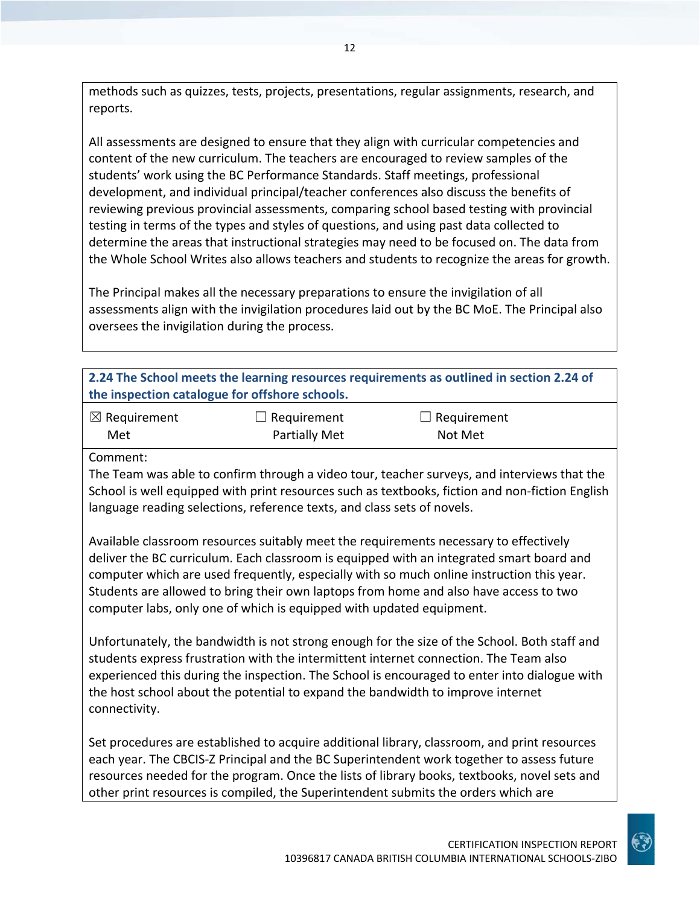methods such as quizzes, tests, projects, presentations, regular assignments, research, and reports.

All assessments are designed to ensure that they align with curricular competencies and content of the new curriculum. The teachers are encouraged to review samples of the students' work using the BC Performance Standards. Staff meetings, professional development, and individual principal/teacher conferences also discuss the benefits of reviewing previous provincial assessments, comparing school based testing with provincial testing in terms of the types and styles of questions, and using past data collected to determine the areas that instructional strategies may need to be focused on. The data from the Whole School Writes also allows teachers and students to recognize the areas for growth.

The Principal makes all the necessary preparations to ensure the invigilation of all assessments align with the invigilation procedures laid out by the BC MoE. The Principal also oversees the invigilation during the process.

| 2.24 The School meets the learning resources requirements as outlined in section 2.24 of |                    |                    |  |
|------------------------------------------------------------------------------------------|--------------------|--------------------|--|
| the inspection catalogue for offshore schools.                                           |                    |                    |  |
| $\boxtimes$ Requirement                                                                  | $\Box$ Requirement | $\Box$ Requirement |  |
| Met                                                                                      | Partially Met      | Not Met            |  |

Comment:

The Team was able to confirm through a video tour, teacher surveys, and interviews that the School is well equipped with print resources such as textbooks, fiction and non-fiction English language reading selections, reference texts, and class sets of novels.

Available classroom resources suitably meet the requirements necessary to effectively deliver the BC curriculum. Each classroom is equipped with an integrated smart board and computer which are used frequently, especially with so much online instruction this year. Students are allowed to bring their own laptops from home and also have access to two computer labs, only one of which is equipped with updated equipment.

Unfortunately, the bandwidth is not strong enough for the size of the School. Both staff and students express frustration with the intermittent internet connection. The Team also experienced this during the inspection. The School is encouraged to enter into dialogue with the host school about the potential to expand the bandwidth to improve internet connectivity.

Set procedures are established to acquire additional library, classroom, and print resources each year. The CBCIS-Z Principal and the BC Superintendent work together to assess future resources needed for the program. Once the lists of library books, textbooks, novel sets and other print resources is compiled, the Superintendent submits the orders which are

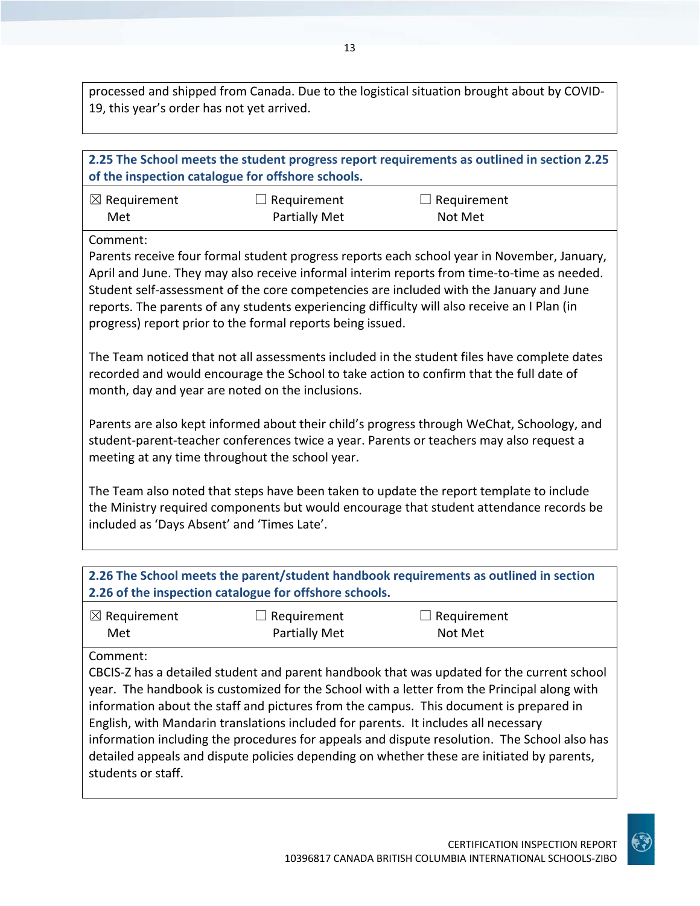processed and shipped from Canada. Due to the logistical situation brought about by COVID‐ 19, this year's order has not yet arrived.

| 2.25 The School meets the student progress report requirements as outlined in section 2.25<br>of the inspection catalogue for offshore schools.                                                                                                                                                                                                                                                                                                                 |                                                 |                                                                                                                                                                                       |  |
|-----------------------------------------------------------------------------------------------------------------------------------------------------------------------------------------------------------------------------------------------------------------------------------------------------------------------------------------------------------------------------------------------------------------------------------------------------------------|-------------------------------------------------|---------------------------------------------------------------------------------------------------------------------------------------------------------------------------------------|--|
| $\boxtimes$ Requirement                                                                                                                                                                                                                                                                                                                                                                                                                                         | $\Box$ Requirement                              | $\Box$ Requirement                                                                                                                                                                    |  |
| Met                                                                                                                                                                                                                                                                                                                                                                                                                                                             | <b>Partially Met</b>                            | Not Met                                                                                                                                                                               |  |
|                                                                                                                                                                                                                                                                                                                                                                                                                                                                 |                                                 |                                                                                                                                                                                       |  |
| Comment:<br>Parents receive four formal student progress reports each school year in November, January,<br>April and June. They may also receive informal interim reports from time-to-time as needed.<br>Student self-assessment of the core competencies are included with the January and June<br>reports. The parents of any students experiencing difficulty will also receive an I Plan (in<br>progress) report prior to the formal reports being issued. |                                                 |                                                                                                                                                                                       |  |
| The Team noticed that not all assessments included in the student files have complete dates<br>recorded and would encourage the School to take action to confirm that the full date of<br>month, day and year are noted on the inclusions.                                                                                                                                                                                                                      |                                                 |                                                                                                                                                                                       |  |
|                                                                                                                                                                                                                                                                                                                                                                                                                                                                 | meeting at any time throughout the school year. | Parents are also kept informed about their child's progress through WeChat, Schoology, and<br>student-parent-teacher conferences twice a year. Parents or teachers may also request a |  |
| The Team also noted that steps have been taken to update the report template to include<br>the Ministry required components but would encourage that student attendance records be<br>included as 'Days Absent' and 'Times Late'.                                                                                                                                                                                                                               |                                                 |                                                                                                                                                                                       |  |
|                                                                                                                                                                                                                                                                                                                                                                                                                                                                 |                                                 |                                                                                                                                                                                       |  |
| 2.26 The School meets the parent/student handbook requirements as outlined in section<br>2.26 of the inspection catalogue for offshore schools.                                                                                                                                                                                                                                                                                                                 |                                                 |                                                                                                                                                                                       |  |
| $\boxtimes$ Requirement                                                                                                                                                                                                                                                                                                                                                                                                                                         | $\Box$ Requirement                              | Requirement                                                                                                                                                                           |  |

Met

equ Not Met

Comment:

CBCIS‐Z has a detailed student and parent handbook that was updated for the current school year. The handbook is customized for the School with a letter from the Principal along with information about the staff and pictures from the campus. This document is prepared in English, with Mandarin translations included for parents. It includes all necessary information including the procedures for appeals and dispute resolution. The School also has detailed appeals and dispute policies depending on whether these are initiated by parents, students or staff.

Partially Met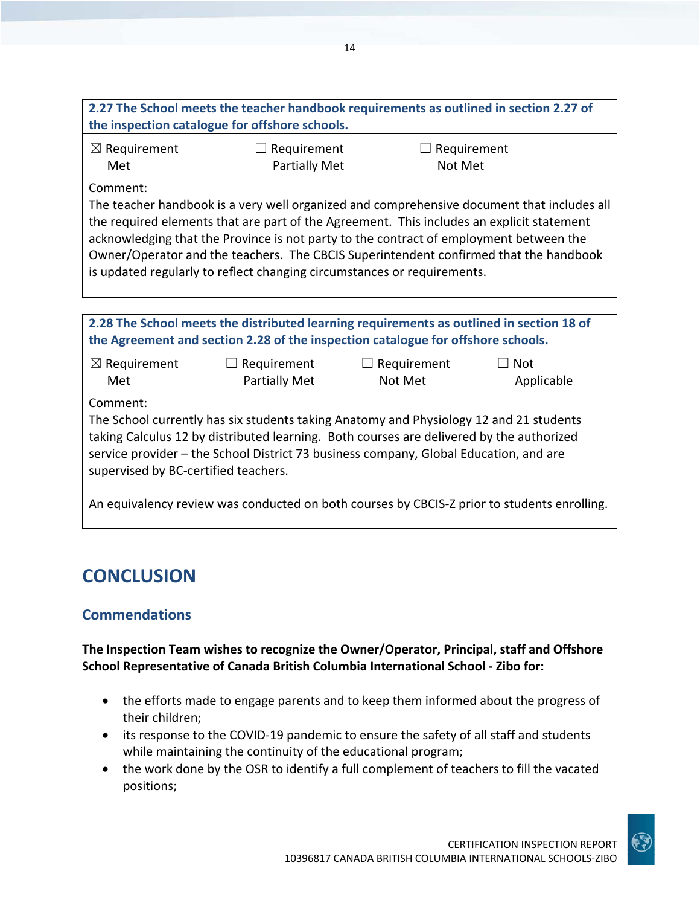| 2.27 The School meets the teacher handbook requirements as outlined in section 2.27 of |  |
|----------------------------------------------------------------------------------------|--|
| the inspection catalogue for offshore schools.                                         |  |
|                                                                                        |  |

| $\boxtimes$ Requirement | $\Box$ Requirement   | $\Box$ Requirement |  |
|-------------------------|----------------------|--------------------|--|
| Met                     | <b>Partially Met</b> | Not Met            |  |

#### Comment:

The teacher handbook is a very well organized and comprehensive document that includes all the required elements that are part of the Agreement. This includes an explicit statement acknowledging that the Province is not party to the contract of employment between the Owner/Operator and the teachers. The CBCIS Superintendent confirmed that the handbook is updated regularly to reflect changing circumstances or requirements.

| 2.28 The School meets the distributed learning requirements as outlined in section 18 of<br>the Agreement and section 2.28 of the inspection catalogue for offshore schools.                                                                                                                                                    |                                     |                               |                          |
|---------------------------------------------------------------------------------------------------------------------------------------------------------------------------------------------------------------------------------------------------------------------------------------------------------------------------------|-------------------------------------|-------------------------------|--------------------------|
| $\boxtimes$ Requirement<br>Met                                                                                                                                                                                                                                                                                                  | Requirement<br><b>Partially Met</b> | $\Box$ Requirement<br>Not Met | <b>Not</b><br>Applicable |
| Comment:<br>The School currently has six students taking Anatomy and Physiology 12 and 21 students<br>taking Calculus 12 by distributed learning. Both courses are delivered by the authorized<br>service provider - the School District 73 business company, Global Education, and are<br>supervised by BC-certified teachers. |                                     |                               |                          |
| An equivalency review was conducted on both courses by CBCIS-Z prior to students enrolling.                                                                                                                                                                                                                                     |                                     |                               |                          |

## **CONCLUSION**

### **Commendations**

**The Inspection Team wishes to recognize the Owner/Operator, Principal, staff and Offshore School Representative of Canada British Columbia International School ‐ Zibo for:**

- the efforts made to engage parents and to keep them informed about the progress of their children;
- its response to the COVID‐19 pandemic to ensure the safety of all staff and students while maintaining the continuity of the educational program;
- the work done by the OSR to identify a full complement of teachers to fill the vacated positions;